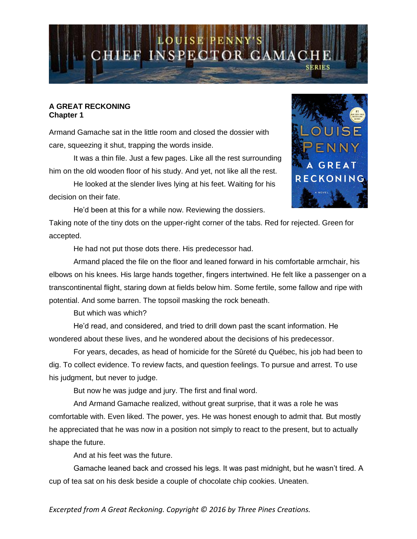

## **A GREAT RECKONING Chapter 1**

Armand Gamache sat in the little room and closed the dossier with care, squeezing it shut, trapping the words inside.

It was a thin file. Just a few pages. Like all the rest surrounding him on the old wooden floor of his study. And yet, not like all the rest.

He looked at the slender lives lying at his feet. Waiting for his decision on their fate.



He'd been at this for a while now. Reviewing the dossiers.

Taking note of the tiny dots on the upper-right corner of the tabs. Red for rejected. Green for accepted.

He had not put those dots there. His predecessor had.

Armand placed the file on the floor and leaned forward in his comfortable armchair, his elbows on his knees. His large hands together, fingers intertwined. He felt like a passenger on a transcontinental flight, staring down at fields below him. Some fertile, some fallow and ripe with potential. And some barren. The topsoil masking the rock beneath.

But which was which?

He'd read, and considered, and tried to drill down past the scant information. He wondered about these lives, and he wondered about the decisions of his predecessor.

For years, decades, as head of homicide for the Sûreté du Québec, his job had been to dig. To collect evidence. To review facts, and question feelings. To pursue and arrest. To use his judgment, but never to judge.

But now he was judge and jury. The first and final word.

And Armand Gamache realized, without great surprise, that it was a role he was comfortable with. Even liked. The power, yes. He was honest enough to admit that. But mostly he appreciated that he was now in a position not simply to react to the present, but to actually shape the future.

And at his feet was the future.

Gamache leaned back and crossed his legs. It was past midnight, but he wasn't tired. A cup of tea sat on his desk beside a couple of chocolate chip cookies. Uneaten.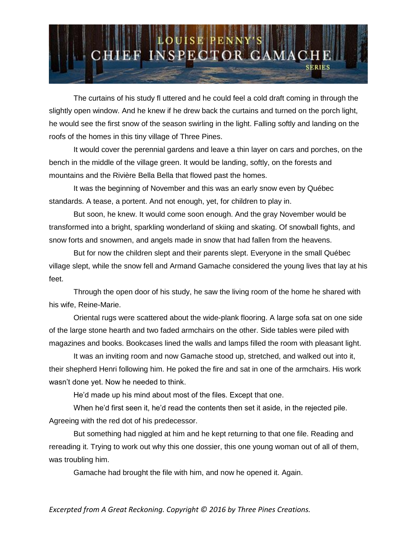

The curtains of his study fl uttered and he could feel a cold draft coming in through the slightly open window. And he knew if he drew back the curtains and turned on the porch light, he would see the first snow of the season swirling in the light. Falling softly and landing on the roofs of the homes in this tiny village of Three Pines.

It would cover the perennial gardens and leave a thin layer on cars and porches, on the bench in the middle of the village green. It would be landing, softly, on the forests and mountains and the Rivière Bella Bella that flowed past the homes.

It was the beginning of November and this was an early snow even by Québec standards. A tease, a portent. And not enough, yet, for children to play in.

But soon, he knew. It would come soon enough. And the gray November would be transformed into a bright, sparkling wonderland of skiing and skating. Of snowball fights, and snow forts and snowmen, and angels made in snow that had fallen from the heavens.

But for now the children slept and their parents slept. Everyone in the small Québec village slept, while the snow fell and Armand Gamache considered the young lives that lay at his feet.

Through the open door of his study, he saw the living room of the home he shared with his wife, Reine-Marie.

Oriental rugs were scattered about the wide-plank flooring. A large sofa sat on one side of the large stone hearth and two faded armchairs on the other. Side tables were piled with magazines and books. Bookcases lined the walls and lamps filled the room with pleasant light.

It was an inviting room and now Gamache stood up, stretched, and walked out into it, their shepherd Henri following him. He poked the fire and sat in one of the armchairs. His work wasn't done yet. Now he needed to think.

He'd made up his mind about most of the files. Except that one.

When he'd first seen it, he'd read the contents then set it aside, in the rejected pile. Agreeing with the red dot of his predecessor.

But something had niggled at him and he kept returning to that one file. Reading and rereading it. Trying to work out why this one dossier, this one young woman out of all of them, was troubling him.

Gamache had brought the file with him, and now he opened it. Again.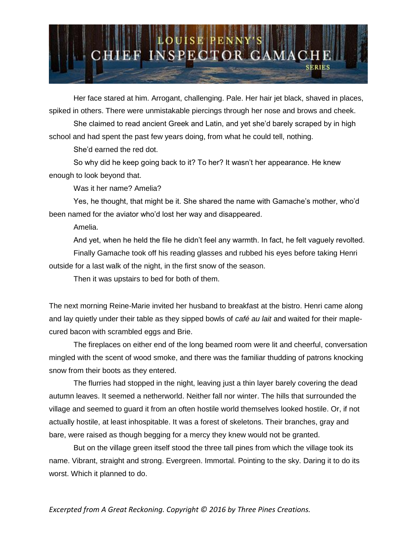

Her face stared at him. Arrogant, challenging. Pale. Her hair jet black, shaved in places, spiked in others. There were unmistakable piercings through her nose and brows and cheek.

She claimed to read ancient Greek and Latin, and yet she'd barely scraped by in high school and had spent the past few years doing, from what he could tell, nothing.

She'd earned the red dot.

So why did he keep going back to it? To her? It wasn't her appearance. He knew enough to look beyond that.

Was it her name? Amelia?

Yes, he thought, that might be it. She shared the name with Gamache's mother, who'd been named for the aviator who'd lost her way and disappeared.

Amelia.

And yet, when he held the file he didn't feel any warmth. In fact, he felt vaguely revolted.

Finally Gamache took off his reading glasses and rubbed his eyes before taking Henri outside for a last walk of the night, in the first snow of the season.

Then it was upstairs to bed for both of them.

The next morning Reine-Marie invited her husband to breakfast at the bistro. Henri came along and lay quietly under their table as they sipped bowls of *café au lait* and waited for their maplecured bacon with scrambled eggs and Brie.

The fireplaces on either end of the long beamed room were lit and cheerful, conversation mingled with the scent of wood smoke, and there was the familiar thudding of patrons knocking snow from their boots as they entered.

The flurries had stopped in the night, leaving just a thin layer barely covering the dead autumn leaves. It seemed a netherworld. Neither fall nor winter. The hills that surrounded the village and seemed to guard it from an often hostile world themselves looked hostile. Or, if not actually hostile, at least inhospitable. It was a forest of skeletons. Their branches, gray and bare, were raised as though begging for a mercy they knew would not be granted.

But on the village green itself stood the three tall pines from which the village took its name. Vibrant, straight and strong. Evergreen. Immortal. Pointing to the sky. Daring it to do its worst. Which it planned to do.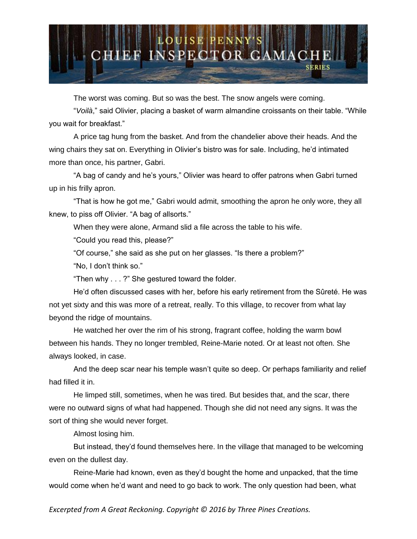

The worst was coming. But so was the best. The snow angels were coming.

"*Voilà*," said Olivier, placing a basket of warm almandine croissants on their table. "While you wait for breakfast."

A price tag hung from the basket. And from the chandelier above their heads. And the wing chairs they sat on. Everything in Olivier's bistro was for sale. Including, he'd intimated more than once, his partner, Gabri.

"A bag of candy and he's yours," Olivier was heard to offer patrons when Gabri turned up in his frilly apron.

"That is how he got me," Gabri would admit, smoothing the apron he only wore, they all knew, to piss off Olivier. "A bag of allsorts."

When they were alone, Armand slid a file across the table to his wife.

"Could you read this, please?"

"Of course," she said as she put on her glasses. "Is there a problem?"

"No, I don't think so."

"Then why . . . ?" She gestured toward the folder.

He'd often discussed cases with her, before his early retirement from the Sûreté. He was not yet sixty and this was more of a retreat, really. To this village, to recover from what lay beyond the ridge of mountains.

He watched her over the rim of his strong, fragrant coffee, holding the warm bowl between his hands. They no longer trembled, Reine-Marie noted. Or at least not often. She always looked, in case.

And the deep scar near his temple wasn't quite so deep. Or perhaps familiarity and relief had filled it in.

He limped still, sometimes, when he was tired. But besides that, and the scar, there were no outward signs of what had happened. Though she did not need any signs. It was the sort of thing she would never forget.

Almost losing him.

But instead, they'd found themselves here. In the village that managed to be welcoming even on the dullest day.

Reine-Marie had known, even as they'd bought the home and unpacked, that the time would come when he'd want and need to go back to work. The only question had been, what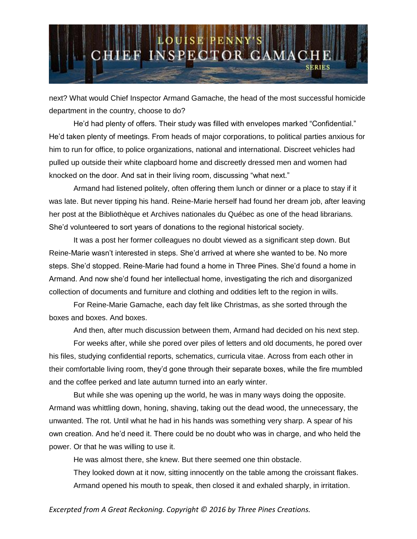

next? What would Chief Inspector Armand Gamache, the head of the most successful homicide department in the country, choose to do?

He'd had plenty of offers. Their study was filled with envelopes marked "Confidential." He'd taken plenty of meetings. From heads of major corporations, to political parties anxious for him to run for office, to police organizations, national and international. Discreet vehicles had pulled up outside their white clapboard home and discreetly dressed men and women had knocked on the door. And sat in their living room, discussing "what next."

Armand had listened politely, often offering them lunch or dinner or a place to stay if it was late. But never tipping his hand. Reine-Marie herself had found her dream job, after leaving her post at the Bibliothèque et Archives nationales du Québec as one of the head librarians. She'd volunteered to sort years of donations to the regional historical society.

It was a post her former colleagues no doubt viewed as a significant step down. But Reine-Marie wasn't interested in steps. She'd arrived at where she wanted to be. No more steps. She'd stopped. Reine-Marie had found a home in Three Pines. She'd found a home in Armand. And now she'd found her intellectual home, investigating the rich and disorganized collection of documents and furniture and clothing and oddities left to the region in wills.

For Reine-Marie Gamache, each day felt like Christmas, as she sorted through the boxes and boxes. And boxes.

And then, after much discussion between them, Armand had decided on his next step.

For weeks after, while she pored over piles of letters and old documents, he pored over his files, studying confidential reports, schematics, curricula vitae. Across from each other in their comfortable living room, they'd gone through their separate boxes, while the fire mumbled and the coffee perked and late autumn turned into an early winter.

But while she was opening up the world, he was in many ways doing the opposite. Armand was whittling down, honing, shaving, taking out the dead wood, the unnecessary, the unwanted. The rot. Until what he had in his hands was something very sharp. A spear of his own creation. And he'd need it. There could be no doubt who was in charge, and who held the power. Or that he was willing to use it.

He was almost there, she knew. But there seemed one thin obstacle.

They looked down at it now, sitting innocently on the table among the croissant flakes. Armand opened his mouth to speak, then closed it and exhaled sharply, in irritation.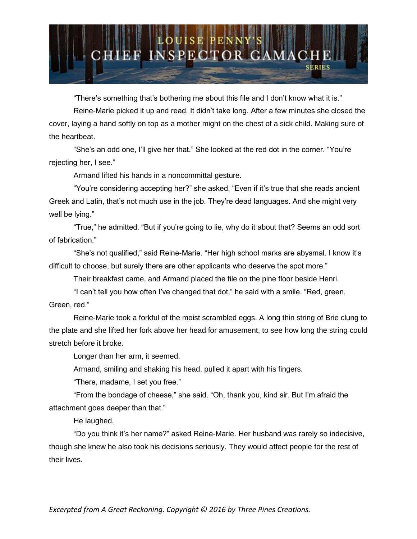

"There's something that's bothering me about this file and I don't know what it is."

Reine-Marie picked it up and read. It didn't take long. After a few minutes she closed the cover, laying a hand softly on top as a mother might on the chest of a sick child. Making sure of the heartbeat.

"She's an odd one, I'll give her that." She looked at the red dot in the corner. "You're rejecting her, I see."

Armand lifted his hands in a noncommittal gesture.

"You're considering accepting her?" she asked. "Even if it's true that she reads ancient Greek and Latin, that's not much use in the job. They're dead languages. And she might very well be lying."

"True," he admitted. "But if you're going to lie, why do it about that? Seems an odd sort of fabrication."

"She's not qualified," said Reine-Marie. "Her high school marks are abysmal. I know it's difficult to choose, but surely there are other applicants who deserve the spot more."

Their breakfast came, and Armand placed the file on the pine floor beside Henri.

"I can't tell you how often I've changed that dot," he said with a smile. "Red, green.

Green, red."

Reine-Marie took a forkful of the moist scrambled eggs. A long thin string of Brie clung to the plate and she lifted her fork above her head for amusement, to see how long the string could stretch before it broke.

Longer than her arm, it seemed.

Armand, smiling and shaking his head, pulled it apart with his fingers.

"There, madame, I set you free."

"From the bondage of cheese," she said. "Oh, thank you, kind sir. But I'm afraid the attachment goes deeper than that."

He laughed.

"Do you think it's her name?" asked Reine-Marie. Her husband was rarely so indecisive, though she knew he also took his decisions seriously. They would affect people for the rest of their lives.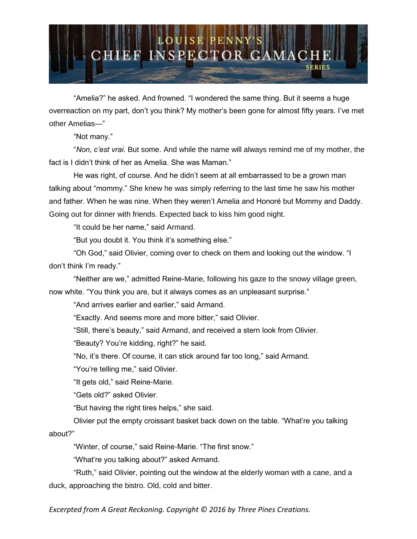

"Amelia?" he asked. And frowned. "I wondered the same thing. But it seems a huge overreaction on my part, don't you think? My mother's been gone for almost fifty years. I've met other Amelias—"

"Not many."

"*Non, c'est vrai*. But some. And while the name will always remind me of my mother, the fact is I didn't think of her as Amelia. She was Maman."

He was right, of course. And he didn't seem at all embarrassed to be a grown man talking about "mommy." She knew he was simply referring to the last time he saw his mother and father. When he was nine. When they weren't Amelia and Honoré but Mommy and Daddy. Going out for dinner with friends. Expected back to kiss him good night.

"It could be her name," said Armand.

"But you doubt it. You think it's something else."

"Oh God," said Olivier, coming over to check on them and looking out the window. "I don't think I'm ready."

"Neither are we," admitted Reine-Marie, following his gaze to the snowy village green, now white. "You think you are, but it always comes as an unpleasant surprise."

"And arrives earlier and earlier," said Armand.

"Exactly. And seems more and more bitter," said Olivier.

"Still, there's beauty," said Armand, and received a stern look from Olivier.

"Beauty? You're kidding, right?" he said.

"No, it's there. Of course, it can stick around far too long," said Armand.

"You're telling me," said Olivier.

"It gets old," said Reine-Marie.

"Gets old?" asked Olivier.

"But having the right tires helps," she said.

Olivier put the empty croissant basket back down on the table. "What're you talking about?"

"Winter, of course," said Reine-Marie. "The first snow."

"What're you talking about?" asked Armand.

"Ruth," said Olivier, pointing out the window at the elderly woman with a cane, and a duck, approaching the bistro. Old, cold and bitter.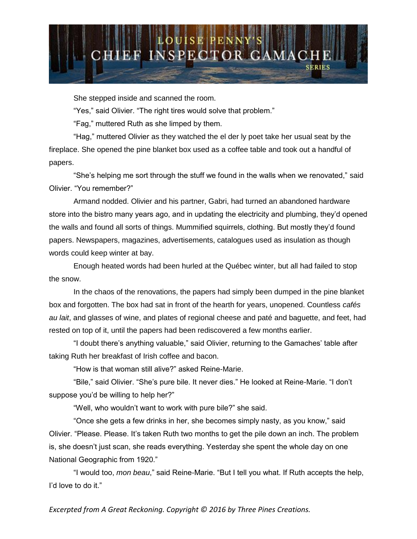

She stepped inside and scanned the room.

"Yes," said Olivier. "The right tires would solve that problem."

"Fag," muttered Ruth as she limped by them.

"Hag," muttered Olivier as they watched the el der ly poet take her usual seat by the fireplace. She opened the pine blanket box used as a coffee table and took out a handful of papers.

"She's helping me sort through the stuff we found in the walls when we renovated," said Olivier. "You remember?"

Armand nodded. Olivier and his partner, Gabri, had turned an abandoned hardware store into the bistro many years ago, and in updating the electricity and plumbing, they'd opened the walls and found all sorts of things. Mummified squirrels, clothing. But mostly they'd found papers. Newspapers, magazines, advertisements, catalogues used as insulation as though words could keep winter at bay.

Enough heated words had been hurled at the Québec winter, but all had failed to stop the snow.

In the chaos of the renovations, the papers had simply been dumped in the pine blanket box and forgotten. The box had sat in front of the hearth for years, unopened. Countless *cafés au lait*, and glasses of wine, and plates of regional cheese and paté and baguette, and feet, had rested on top of it, until the papers had been rediscovered a few months earlier.

"I doubt there's anything valuable," said Olivier, returning to the Gamaches' table after taking Ruth her breakfast of Irish coffee and bacon.

"How is that woman still alive?" asked Reine-Marie.

"Bile," said Olivier. "She's pure bile. It never dies." He looked at Reine-Marie. "I don't suppose you'd be willing to help her?"

"Well, who wouldn't want to work with pure bile?" she said.

"Once she gets a few drinks in her, she becomes simply nasty, as you know," said Olivier. "Please. Please. It's taken Ruth two months to get the pile down an inch. The problem is, she doesn't just scan, she reads everything. Yesterday she spent the whole day on one National Geographic from 1920."

"I would too, *mon beau*," said Reine-Marie. "But I tell you what. If Ruth accepts the help, I'd love to do it."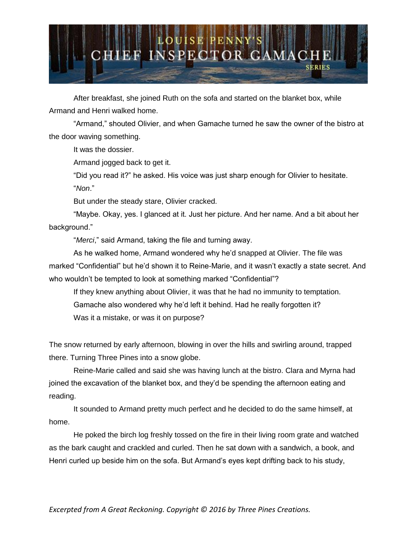

After breakfast, she joined Ruth on the sofa and started on the blanket box, while Armand and Henri walked home.

"Armand," shouted Olivier, and when Gamache turned he saw the owner of the bistro at the door waving something.

It was the dossier.

Armand jogged back to get it.

"Did you read it?" he asked. His voice was just sharp enough for Olivier to hesitate. "*Non*."

But under the steady stare, Olivier cracked.

"Maybe. Okay, yes. I glanced at it. Just her picture. And her name. And a bit about her background."

"*Merci*," said Armand, taking the file and turning away.

As he walked home, Armand wondered why he'd snapped at Olivier. The file was marked "Confidential" but he'd shown it to Reine-Marie, and it wasn't exactly a state secret. And who wouldn't be tempted to look at something marked "Confidential"?

If they knew anything about Olivier, it was that he had no immunity to temptation. Gamache also wondered why he'd left it behind. Had he really forgotten it? Was it a mistake, or was it on purpose?

The snow returned by early afternoon, blowing in over the hills and swirling around, trapped there. Turning Three Pines into a snow globe.

Reine-Marie called and said she was having lunch at the bistro. Clara and Myrna had joined the excavation of the blanket box, and they'd be spending the afternoon eating and reading.

It sounded to Armand pretty much perfect and he decided to do the same himself, at home.

He poked the birch log freshly tossed on the fire in their living room grate and watched as the bark caught and crackled and curled. Then he sat down with a sandwich, a book, and Henri curled up beside him on the sofa. But Armand's eyes kept drifting back to his study,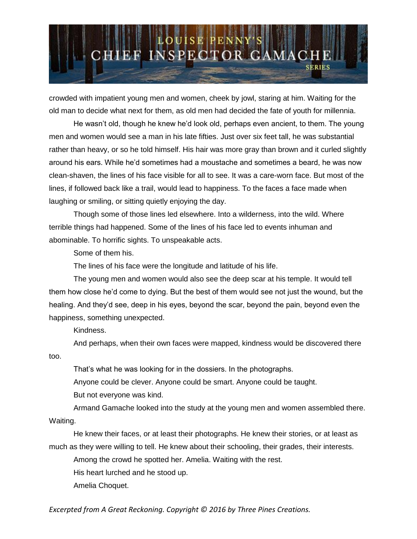

crowded with impatient young men and women, cheek by jowl, staring at him. Waiting for the old man to decide what next for them, as old men had decided the fate of youth for millennia.

He wasn't old, though he knew he'd look old, perhaps even ancient, to them. The young men and women would see a man in his late fifties. Just over six feet tall, he was substantial rather than heavy, or so he told himself. His hair was more gray than brown and it curled slightly around his ears. While he'd sometimes had a moustache and sometimes a beard, he was now clean-shaven, the lines of his face visible for all to see. It was a care-worn face. But most of the lines, if followed back like a trail, would lead to happiness. To the faces a face made when laughing or smiling, or sitting quietly enjoying the day.

Though some of those lines led elsewhere. Into a wilderness, into the wild. Where terrible things had happened. Some of the lines of his face led to events inhuman and abominable. To horrific sights. To unspeakable acts.

Some of them his.

The lines of his face were the longitude and latitude of his life.

The young men and women would also see the deep scar at his temple. It would tell them how close he'd come to dying. But the best of them would see not just the wound, but the healing. And they'd see, deep in his eyes, beyond the scar, beyond the pain, beyond even the happiness, something unexpected.

Kindness.

And perhaps, when their own faces were mapped, kindness would be discovered there too.

That's what he was looking for in the dossiers. In the photographs.

Anyone could be clever. Anyone could be smart. Anyone could be taught.

But not everyone was kind.

Armand Gamache looked into the study at the young men and women assembled there. Waiting.

He knew their faces, or at least their photographs. He knew their stories, or at least as much as they were willing to tell. He knew about their schooling, their grades, their interests.

Among the crowd he spotted her. Amelia. Waiting with the rest.

His heart lurched and he stood up.

Amelia Choquet.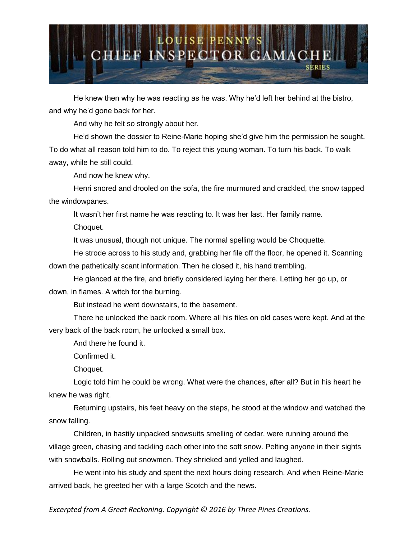

He knew then why he was reacting as he was. Why he'd left her behind at the bistro, and why he'd gone back for her.

And why he felt so strongly about her.

He'd shown the dossier to Reine-Marie hoping she'd give him the permission he sought. To do what all reason told him to do. To reject this young woman. To turn his back. To walk away, while he still could.

And now he knew why.

Henri snored and drooled on the sofa, the fire murmured and crackled, the snow tapped the windowpanes.

It wasn't her first name he was reacting to. It was her last. Her family name.

Choquet.

It was unusual, though not unique. The normal spelling would be Choquette.

He strode across to his study and, grabbing her file off the floor, he opened it. Scanning down the pathetically scant information. Then he closed it, his hand trembling.

He glanced at the fire, and briefly considered laying her there. Letting her go up, or

down, in flames. A witch for the burning.

But instead he went downstairs, to the basement.

There he unlocked the back room. Where all his files on old cases were kept. And at the very back of the back room, he unlocked a small box.

And there he found it.

Confirmed it.

Choquet.

Logic told him he could be wrong. What were the chances, after all? But in his heart he knew he was right.

Returning upstairs, his feet heavy on the steps, he stood at the window and watched the snow falling.

Children, in hastily unpacked snowsuits smelling of cedar, were running around the village green, chasing and tackling each other into the soft snow. Pelting anyone in their sights with snowballs. Rolling out snowmen. They shrieked and yelled and laughed.

He went into his study and spent the next hours doing research. And when Reine-Marie arrived back, he greeted her with a large Scotch and the news.